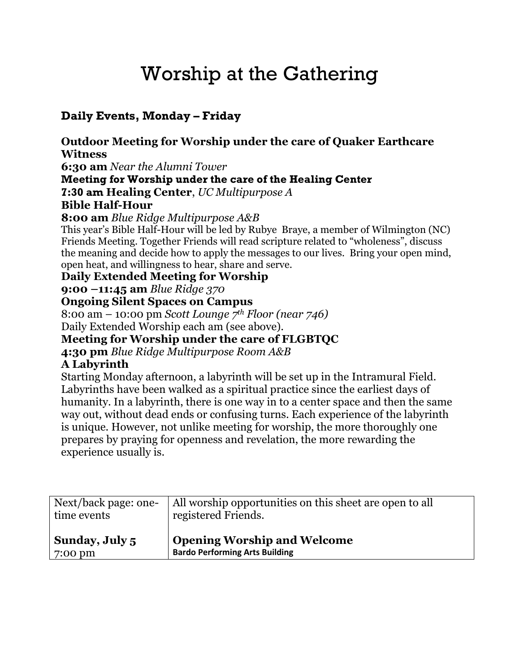## Worship at the Gathering

## **Daily Events, Monday – Friday**

**Outdoor Meeting for Worship under the care of Quaker Earthcare Witness 6:30 am** *Near the Alumni Tower* **Meeting for Worship under the care of the Healing Center 7:30 am Healing Center**, *UC Multipurpose A* **Bible Half-Hour 8:00 am** *Blue Ridge Multipurpose A&B*  This year's Bible Half-Hour will be led by Rubye Braye, a member of Wilmington (NC) Friends Meeting. Together Friends will read scripture related to "wholeness", discuss the meaning and decide how to apply the messages to our lives. Bring your open mind, open heat, and willingness to hear, share and serve. **Daily Extended Meeting for Worship 9:00 –11:45 am** *Blue Ridge 370* **Ongoing Silent Spaces on Campus**  8:00 am – 10:00 pm *Scott Lounge 7 th Floor (near 746)* Daily Extended Worship each am (see above). **Meeting for Worship under the care of FLGBTQC 4:30 pm** *Blue Ridge Multipurpose Room A&B*

## **A Labyrinth**

Starting Monday afternoon, a labyrinth will be set up in the Intramural Field. Labyrinths have been walked as a spiritual practice since the earliest days of humanity. In a labyrinth, there is one way in to a center space and then the same way out, without dead ends or confusing turns. Each experience of the labyrinth is unique. However, not unlike meeting for worship, the more thoroughly one prepares by praying for openness and revelation, the more rewarding the experience usually is.

| Next/back page: one- | All worship opportunities on this sheet are open to all |
|----------------------|---------------------------------------------------------|
| time events          | registered Friends.                                     |
| Sunday, July 5       | <b>Opening Worship and Welcome</b>                      |
| $7:00 \text{ pm}$    | <b>Bardo Performing Arts Building</b>                   |